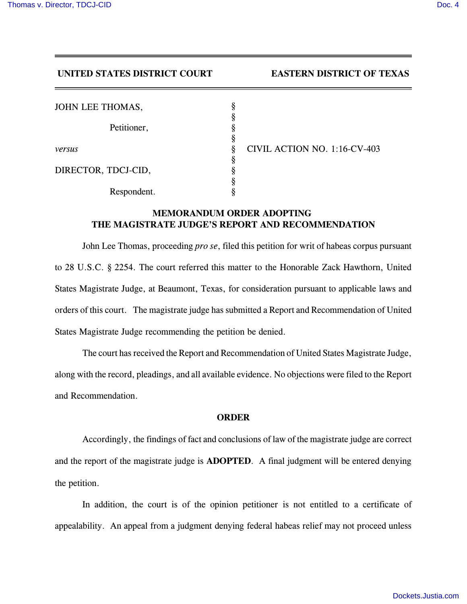## **UNITED STATES DISTRICT COURT EASTERN DISTRICT OF TEXAS**

| JOHN LEE THOMAS,    |        |
|---------------------|--------|
| Petitioner,         | ş<br>ş |
|                     | ş<br>§ |
| versus              | ş      |
| DIRECTOR, TDCJ-CID, | ş      |
| Respondent.         |        |

*versus* § CIVIL ACTION NO. 1:16-CV-403

## **MEMORANDUM ORDER ADOPTING THE MAGISTRATE JUDGE'S REPORT AND RECOMMENDATION**

John Lee Thomas, proceeding *pro se*, filed this petition for writ of habeas corpus pursuant to 28 U.S.C. § 2254. The court referred this matter to the Honorable Zack Hawthorn, United States Magistrate Judge, at Beaumont, Texas, for consideration pursuant to applicable laws and orders of this court. The magistrate judge has submitted a Report and Recommendation of United States Magistrate Judge recommending the petition be denied.

The court has received the Report and Recommendation of United States Magistrate Judge, along with the record, pleadings, and all available evidence. No objections were filed to the Report and Recommendation.

## **ORDER**

Accordingly, the findings of fact and conclusions of law of the magistrate judge are correct and the report of the magistrate judge is **ADOPTED**. A final judgment will be entered denying the petition.

In addition, the court is of the opinion petitioner is not entitled to a certificate of appealability. An appeal from a judgment denying federal habeas relief may not proceed unless